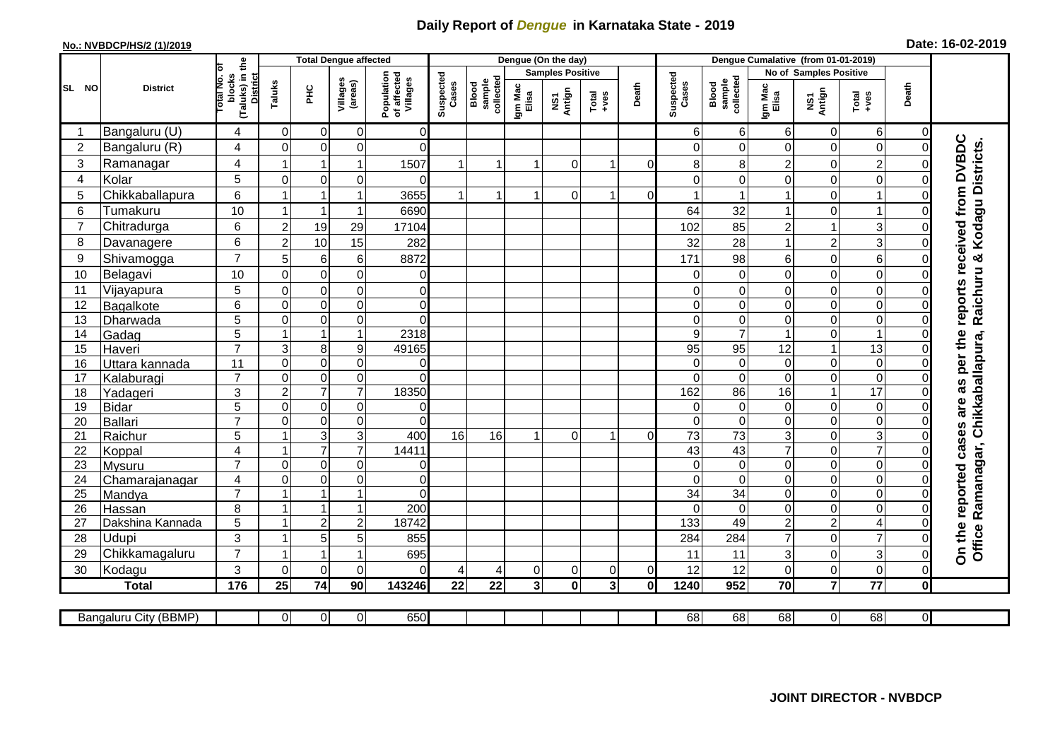## **Daily Report of** *Dengue* **in Karnataka State - 2019**

## **No.: NVBDCP/HS/2 (1)/2019 Date: 16-02-2019**

|                |                            | the                                                 |                      | <b>Total Dengue affected</b>                   |                             |                                       |                    |                              |                  | Dengue (On the day)     |                         |          |                             |                              |                     |                                 |                                    |                      |                                                                            |
|----------------|----------------------------|-----------------------------------------------------|----------------------|------------------------------------------------|-----------------------------|---------------------------------------|--------------------|------------------------------|------------------|-------------------------|-------------------------|----------|-----------------------------|------------------------------|---------------------|---------------------------------|------------------------------------|----------------------|----------------------------------------------------------------------------|
|                |                            |                                                     |                      |                                                |                             |                                       |                    |                              |                  | <b>Samples Positive</b> |                         |          |                             |                              |                     | No of Samples Positive          |                                    |                      |                                                                            |
| SL NO          | <b>District</b>            | lotal No. ol<br>(Taluks) in t<br>District<br>blocks | Taluks               | PHC                                            | Villages<br>(areas)         | Population<br>of affected<br>Villages | Suspected<br>Cases | sample<br>collected<br>Blood | Igm Mac<br>Elisa | NS1<br>Antign           | $Totael$                | Death    | Suspected<br>Cases          | sample<br>collected<br>Blood | Igm Mac<br>Elisa    | NS1<br>Antign                   | $Tota$<br>$+ves$                   | Death                |                                                                            |
|                | Bangaluru (U)              | 4                                                   | $\Omega$             | $\mathbf 0$                                    | 0                           | $\overline{0}$                        |                    |                              |                  |                         |                         |          | 6                           | 6                            | 6                   | $\mathbf 0$                     | 6                                  | $\Omega$             |                                                                            |
| $\overline{2}$ | Bangaluru (R)              | 4                                                   | $\mathbf{0}$         | $\mathbf 0$                                    | $\mathbf 0$                 | $\Omega$                              |                    |                              |                  |                         |                         |          |                             | $\Omega$                     | 0                   | $\mathbf 0$                     | $\mathbf 0$                        | $\Omega$             |                                                                            |
| 3              | Ramanagar                  | 4                                                   | $\overline{1}$       |                                                | 1                           | 1507                                  |                    | $\overline{1}$               |                  | $\Omega$                | 1                       | $\Omega$ | 8                           | 8                            | $\overline{c}$      | $\Omega$                        | $\overline{2}$                     | 0                    | reports received from DVBDC<br>Raichuru & Kodagu Districts.                |
| 4              | Kolar                      | 5                                                   | $\Omega$             | $\mathbf 0$                                    | 0                           | $\Omega$                              |                    |                              |                  |                         |                         |          | ∩                           | $\Omega$                     | 0                   | $\mathbf 0$                     | $\mathbf 0$                        | $\Omega$             |                                                                            |
| 5              | Chikkaballapura            | 6                                                   | $\overline{1}$       |                                                | 1                           | 3655                                  | $\overline{1}$     | $\overline{1}$               |                  | $\Omega$                | 1                       | 0        |                             |                              | 1                   | $\boldsymbol{0}$                | -1                                 | $\Omega$             |                                                                            |
| 6              | Tumakuru                   | 10                                                  | -1                   |                                                | $\mathbf{1}$                | 6690                                  |                    |                              |                  |                         |                         |          | 64                          | 32                           | 1                   | $\mathbf 0$                     | 1                                  | O                    |                                                                            |
| $\overline{7}$ | Chitradurga                | 6                                                   | $\overline{c}$       | 19                                             | 29                          | 17104                                 |                    |                              |                  |                         |                         |          | 102                         | 85                           | $\overline{c}$      | $\mathbf{1}$                    | 3                                  | $\Omega$             |                                                                            |
| 8              | Davanagere                 | 6                                                   | $\overline{2}$       | 10                                             | 15                          | 282                                   |                    |                              |                  |                         |                         |          | 32                          | 28                           | $\mathbf{1}$        | $\overline{2}$                  | 3                                  | $\Omega$             |                                                                            |
| 9              | Shivamogga                 | $\overline{7}$                                      | 5                    | $\,6$                                          | 6                           | 8872                                  |                    |                              |                  |                         |                         |          | 171                         | 98                           | 6                   | $\boldsymbol{0}$                | $6\phantom{1}6$                    | 0                    |                                                                            |
| 10             | Belagavi                   | 10                                                  | $\mathbf 0$          | $\mathbf 0$                                    | $\mathbf 0$                 | 0                                     |                    |                              |                  |                         |                         |          | $\Omega$                    | $\mathbf 0$                  | 0                   | $\mathbf 0$                     | $\mathbf 0$                        | $\Omega$             |                                                                            |
| 11             | Vijayapura                 | 5                                                   | $\mathbf 0$          | $\boldsymbol{0}$                               | $\mathsf 0$                 | $\overline{0}$                        |                    |                              |                  |                         |                         |          | 0                           | 0                            | 0                   | $\mathbf 0$                     | $\mathbf 0$                        | 0                    |                                                                            |
| 12             | Bagalkote                  | 6                                                   | $\mathbf{0}$         | $\mathbf 0$                                    | 0                           | $\overline{0}$                        |                    |                              |                  |                         |                         |          | $\Omega$                    | $\Omega$                     | 0                   | $\mathbf 0$                     | $\mathbf 0$                        | 0                    |                                                                            |
| 13             | Dharwada                   | 5                                                   | $\mathbf 0$          | $\mathbf 0$                                    | $\overline{0}$              | $\Omega$                              |                    |                              |                  |                         |                         |          | $\Omega$                    | $\mathbf 0$                  | $\mathbf 0$         | $\boldsymbol{0}$                | $\mathbf 0$                        | $\Omega$             |                                                                            |
| 14             | Gadag                      | $\overline{5}$                                      | -1                   | $\mathbf{1}$                                   | $\mathbf{1}$                | 2318                                  |                    |                              |                  |                         |                         |          | 9                           | $\overline{7}$               | 1                   | $\boldsymbol{0}$                | $\blacktriangleleft$               | $\Omega$             |                                                                            |
| 15             | Haveri                     | $\overline{7}$                                      | 3                    | $\bf 8$                                        | 9                           | 49165                                 |                    |                              |                  |                         |                         |          | 95                          | 95                           | 12                  | $\mathbf{1}$                    | 13                                 | $\Omega$             |                                                                            |
| 16             | Uttara kannada             | 11                                                  | $\mathbf 0$          | $\mathbf 0$                                    | 0                           | 0                                     |                    |                              |                  |                         |                         |          | $\Omega$                    | $\mathbf 0$                  | 0                   | $\mathbf 0$                     | $\mathbf 0$                        | 0                    |                                                                            |
| 17             | Kalaburagi                 | $\overline{7}$                                      | $\mathbf 0$          | $\pmb{0}$                                      | $\mathsf 0$                 | $\Omega$                              |                    |                              |                  |                         |                         |          | $\Omega$                    | $\Omega$                     | $\mathbf 0$         | $\boldsymbol{0}$                | $\overline{0}$                     | $\Omega$             |                                                                            |
| 18             | Yadageri                   | $\mathbf{3}$                                        | $\overline{c}$       | $\overline{7}$                                 | $\overline{7}$              | 18350                                 |                    |                              |                  |                         |                         |          | 162                         | 86                           | 16                  | $\mathbf{1}$                    | $\overline{17}$                    | 0                    |                                                                            |
| 19             | <b>Bidar</b>               | 5                                                   | $\mathbf 0$          | $\mathbf 0$                                    | $\mathbf 0$                 | $\overline{0}$                        |                    |                              |                  |                         |                         |          | $\Omega$                    | $\Omega$                     | 0                   | $\mathbf 0$                     | $\boldsymbol{0}$                   | $\Omega$             |                                                                            |
| 20             | Ballari                    | $\overline{7}$                                      | $\mathbf 0$          | $\mathsf{O}\xspace$                            | 0                           | $\Omega$                              |                    |                              |                  |                         |                         |          | $\Omega$                    | $\mathbf 0$                  | 0                   | $\boldsymbol{0}$                | $\mathbf 0$                        | 0                    |                                                                            |
| 21             | Raichur                    | 5                                                   |                      | 3                                              | 3                           | 400                                   | 16                 | 16                           |                  | $\Omega$                | 1                       | 0l       | $\overline{73}$             | $\overline{73}$              | 3                   | $\mathbf 0$                     | $\overline{3}$                     | 0                    |                                                                            |
| 22             | Koppal                     | 4                                                   |                      | $\overline{7}$                                 | $\overline{7}$              | 14411                                 |                    |                              |                  |                         |                         |          | 43                          | 43                           | $\overline{7}$      | $\mathbf 0$                     | $\overline{7}$                     | $\Omega$             |                                                                            |
| 23             | <b>Mysuru</b>              | $\overline{7}$                                      | $\mathbf 0$          | $\mathbf 0$                                    | $\mathbf 0$                 | $\overline{0}$                        |                    |                              |                  |                         |                         |          | $\Omega$                    | $\mathbf 0$                  | 0                   | $\mathbf 0$                     | $\overline{0}$                     | $\Omega$             |                                                                            |
| 24             | Chamarajanagar             | $\overline{4}$<br>$\overline{7}$                    | $\mathbf 0$<br>1     | $\mathsf{O}\xspace$<br>$\overline{\mathbf{1}}$ | $\mathsf 0$<br>$\mathbf{1}$ | $\overline{0}$<br>$\Omega$            |                    |                              |                  |                         |                         |          | $\Omega$<br>$\overline{34}$ | $\overline{0}$<br>34         | $\overline{0}$<br>0 | $\boldsymbol{0}$<br>$\mathbf 0$ | $\boldsymbol{0}$<br>$\overline{0}$ | $\Omega$<br>$\Omega$ |                                                                            |
| 25             | Mandya                     | 8                                                   | $\overline{1}$       | $\mathbf{1}$                                   | $\overline{1}$              | 200                                   |                    |                              |                  |                         |                         |          |                             |                              |                     | $\mathbf 0$                     | $\mathbf 0$                        |                      |                                                                            |
| 26<br>27       | Hassan<br>Dakshina Kannada | $5\phantom{.0}$                                     | $\blacktriangleleft$ | $\overline{2}$                                 | $\overline{c}$              | 18742                                 |                    |                              |                  |                         |                         |          | $\Omega$<br>133             | $\mathbf 0$<br>49            | 0<br>$\overline{2}$ | $\mathbf 2$                     | $\overline{4}$                     | 0<br>$\Omega$        |                                                                            |
| 28             | Udupi                      | 3                                                   |                      | 5                                              | 5                           | 855                                   |                    |                              |                  |                         |                         |          | 284                         | 284                          | $\overline{7}$      | $\mathbf 0$                     | $\overline{7}$                     | O                    |                                                                            |
| 29             | Chikkamagaluru             | $\overline{7}$                                      |                      |                                                | 1                           | 695                                   |                    |                              |                  |                         |                         |          | 11                          | 11                           | 3                   | $\mathbf 0$                     | $\mathbf{3}$                       | $\Omega$             | On the reported cases are as per the<br>Office Ramanagar, Chikkaballapura, |
| 30             | Kodagu                     | 3                                                   | $\Omega$             | $\mathbf 0$                                    | $\Omega$                    | $\Omega$                              | 4                  | 4                            | 0                | 0                       | 0                       | $\Omega$ | 12                          | 12                           | 0                   | $\boldsymbol{0}$                | $\mathbf 0$                        | $\overline{0}$       |                                                                            |
|                | <b>Total</b>               | 176                                                 | 25                   | 74                                             | 90                          | 143246                                | 22                 | 22                           | 3 <sup>1</sup>   | $\mathbf 0$             | $\overline{\mathbf{3}}$ | 0        | 1240                        | 952                          | 70                  | $\overline{7}$                  | $\overline{77}$                    | $\mathbf{0}$         |                                                                            |
|                |                            |                                                     |                      |                                                |                             |                                       |                    |                              |                  |                         |                         |          |                             |                              |                     |                                 |                                    |                      |                                                                            |
|                | Bangaluru City (BBMP)      |                                                     | $\overline{0}$       | 0                                              | $\overline{0}$              | 650                                   |                    |                              |                  |                         |                         |          | 68                          | 68                           | 68                  | $\overline{0}$                  | 68                                 | $\overline{0}$       |                                                                            |